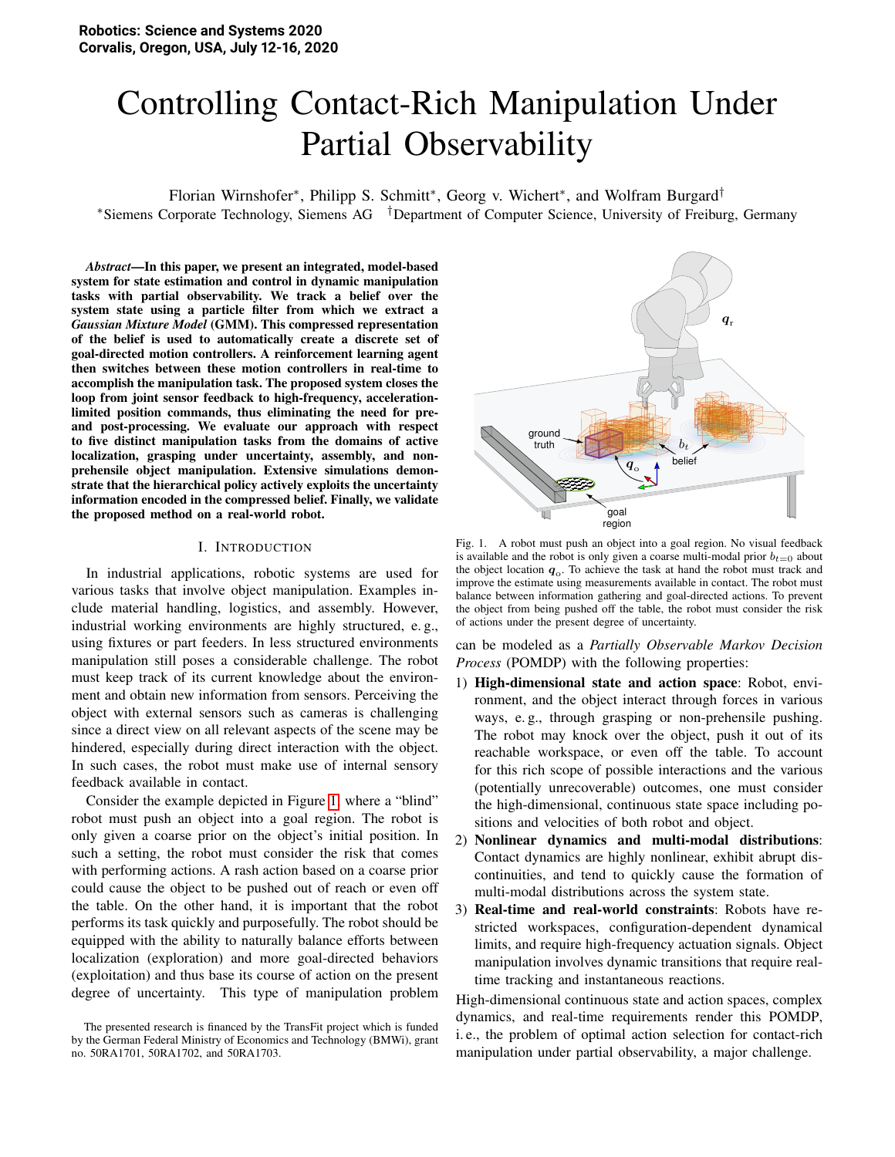# Controlling Contact-Rich Manipulation Under Partial Observability

Florian Wirnshofer<sup>\*</sup>, Philipp S. Schmitt<sup>\*</sup>, Georg v. Wichert<sup>\*</sup>, and Wolfram Burgard<sup>†</sup> <sup>∗</sup>Siemens Corporate Technology, Siemens AG †Department of Computer Science, University of Freiburg, Germany

*Abstract*—In this paper, we present an integrated, model-based system for state estimation and control in dynamic manipulation tasks with partial observability. We track a belief over the system state using a particle filter from which we extract a *Gaussian Mixture Model* (GMM). This compressed representation of the belief is used to automatically create a discrete set of goal-directed motion controllers. A reinforcement learning agent then switches between these motion controllers in real-time to accomplish the manipulation task. The proposed system closes the loop from joint sensor feedback to high-frequency, accelerationlimited position commands, thus eliminating the need for preand post-processing. We evaluate our approach with respect to five distinct manipulation tasks from the domains of active localization, grasping under uncertainty, assembly, and nonprehensile object manipulation. Extensive simulations demonstrate that the hierarchical policy actively exploits the uncertainty information encoded in the compressed belief. Finally, we validate the proposed method on a real-world robot.

#### I. INTRODUCTION

In industrial applications, robotic systems are used for various tasks that involve object manipulation. Examples include material handling, logistics, and assembly. However, industrial working environments are highly structured, e. g., using fixtures or part feeders. In less structured environments manipulation still poses a considerable challenge. The robot must keep track of its current knowledge about the environment and obtain new information from sensors. Perceiving the object with external sensors such as cameras is challenging since a direct view on all relevant aspects of the scene may be hindered, especially during direct interaction with the object. In such cases, the robot must make use of internal sensory feedback available in contact.

Consider the example depicted in Figure [1,](#page-0-0) where a "blind" robot must push an object into a goal region. The robot is only given a coarse prior on the object's initial position. In such a setting, the robot must consider the risk that comes with performing actions. A rash action based on a coarse prior could cause the object to be pushed out of reach or even off the table. On the other hand, it is important that the robot performs its task quickly and purposefully. The robot should be equipped with the ability to naturally balance efforts between localization (exploration) and more goal-directed behaviors (exploitation) and thus base its course of action on the present degree of uncertainty. This type of manipulation problem



<span id="page-0-0"></span>Fig. 1. A robot must push an object into a goal region. No visual feedback is available and the robot is only given a coarse multi-modal prior  $b_{t=0}$  about the object location  $q_0$ . To achieve the task at hand the robot must track and improve the estimate using measurements available in contact. The robot must balance between information gathering and goal-directed actions. To prevent the object from being pushed off the table, the robot must consider the risk of actions under the present degree of uncertainty.

can be modeled as a *Partially Observable Markov Decision Process* (POMDP) with the following properties:

- 1) High-dimensional state and action space: Robot, environment, and the object interact through forces in various ways, e. g., through grasping or non-prehensile pushing. The robot may knock over the object, push it out of its reachable workspace, or even off the table. To account for this rich scope of possible interactions and the various (potentially unrecoverable) outcomes, one must consider the high-dimensional, continuous state space including positions and velocities of both robot and object.
- 2) Nonlinear dynamics and multi-modal distributions: Contact dynamics are highly nonlinear, exhibit abrupt discontinuities, and tend to quickly cause the formation of multi-modal distributions across the system state.
- 3) Real-time and real-world constraints: Robots have restricted workspaces, configuration-dependent dynamical limits, and require high-frequency actuation signals. Object manipulation involves dynamic transitions that require realtime tracking and instantaneous reactions.

High-dimensional continuous state and action spaces, complex dynamics, and real-time requirements render this POMDP, i. e., the problem of optimal action selection for contact-rich manipulation under partial observability, a major challenge.

The presented research is financed by the TransFit project which is funded by the German Federal Ministry of Economics and Technology (BMWi), grant no. 50RA1701, 50RA1702, and 50RA1703.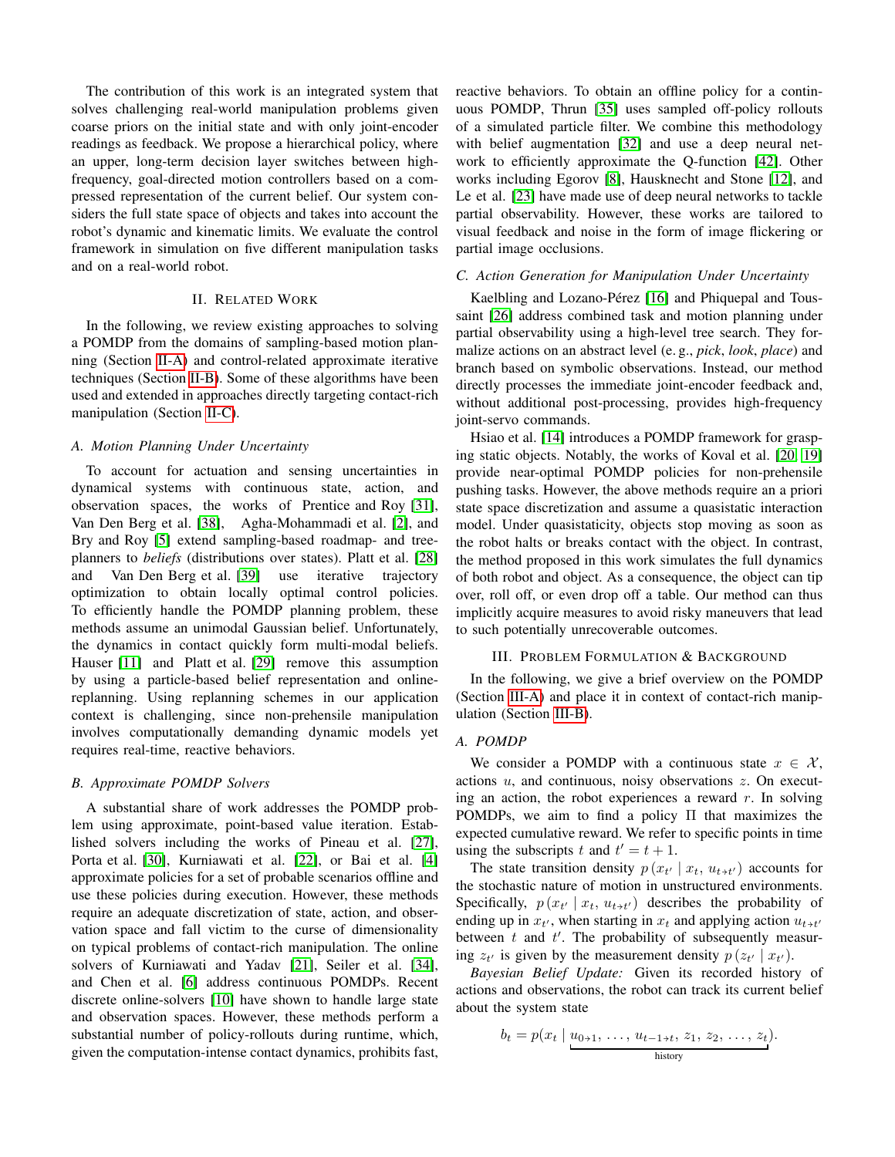The contribution of this work is an integrated system that solves challenging real-world manipulation problems given coarse priors on the initial state and with only joint-encoder readings as feedback. We propose a hierarchical policy, where an upper, long-term decision layer switches between highfrequency, goal-directed motion controllers based on a compressed representation of the current belief. Our system considers the full state space of objects and takes into account the robot's dynamic and kinematic limits. We evaluate the control framework in simulation on five different manipulation tasks and on a real-world robot.

#### II. RELATED WORK

In the following, we review existing approaches to solving a POMDP from the domains of sampling-based motion planning (Section [II-A\)](#page-1-0) and control-related approximate iterative techniques (Section [II-B\)](#page-1-1). Some of these algorithms have been used and extended in approaches directly targeting contact-rich manipulation (Section [II-C\)](#page-1-2).

#### <span id="page-1-0"></span>*A. Motion Planning Under Uncertainty*

To account for actuation and sensing uncertainties in dynamical systems with continuous state, action, and observation spaces, the works of Prentice and Roy [\[31\]](#page-9-0), Van Den Berg et al. [\[38\]](#page-9-1), Agha-Mohammadi et al. [\[2\]](#page-8-0), and Bry and Roy [\[5\]](#page-8-1) extend sampling-based roadmap- and treeplanners to *beliefs* (distributions over states). Platt et al. [\[28\]](#page-8-2) and Van Den Berg et al. [\[39\]](#page-9-2) use iterative trajectory optimization to obtain locally optimal control policies. To efficiently handle the POMDP planning problem, these methods assume an unimodal Gaussian belief. Unfortunately, the dynamics in contact quickly form multi-modal beliefs. Hauser [\[11\]](#page-8-3) and Platt et al. [\[29\]](#page-9-3) remove this assumption by using a particle-based belief representation and onlinereplanning. Using replanning schemes in our application context is challenging, since non-prehensile manipulation involves computationally demanding dynamic models yet requires real-time, reactive behaviors.

### <span id="page-1-1"></span>*B. Approximate POMDP Solvers*

A substantial share of work addresses the POMDP problem using approximate, point-based value iteration. Established solvers including the works of Pineau et al. [\[27\]](#page-8-4), Porta et al. [\[30\]](#page-9-4), Kurniawati et al. [\[22\]](#page-8-5), or Bai et al. [\[4\]](#page-8-6) approximate policies for a set of probable scenarios offline and use these policies during execution. However, these methods require an adequate discretization of state, action, and observation space and fall victim to the curse of dimensionality on typical problems of contact-rich manipulation. The online solvers of Kurniawati and Yadav [\[21\]](#page-8-7), Seiler et al. [\[34\]](#page-9-5), and Chen et al. [\[6\]](#page-8-8) address continuous POMDPs. Recent discrete online-solvers [\[10\]](#page-8-9) have shown to handle large state and observation spaces. However, these methods perform a substantial number of policy-rollouts during runtime, which, given the computation-intense contact dynamics, prohibits fast, reactive behaviors. To obtain an offline policy for a continuous POMDP, Thrun [\[35\]](#page-9-6) uses sampled off-policy rollouts of a simulated particle filter. We combine this methodology with belief augmentation [\[32\]](#page-9-7) and use a deep neural network to efficiently approximate the Q-function [\[42\]](#page-9-8). Other works including Egorov [\[8\]](#page-8-10), Hausknecht and Stone [\[12\]](#page-8-11), and Le et al. [\[23\]](#page-8-12) have made use of deep neural networks to tackle partial observability. However, these works are tailored to visual feedback and noise in the form of image flickering or partial image occlusions.

#### <span id="page-1-2"></span>*C. Action Generation for Manipulation Under Uncertainty*

Kaelbling and Lozano-Pérez [\[16\]](#page-8-13) and Phiquepal and Toussaint [\[26\]](#page-8-14) address combined task and motion planning under partial observability using a high-level tree search. They formalize actions on an abstract level (e. g., *pick*, *look*, *place*) and branch based on symbolic observations. Instead, our method directly processes the immediate joint-encoder feedback and, without additional post-processing, provides high-frequency joint-servo commands.

Hsiao et al. [\[14\]](#page-8-15) introduces a POMDP framework for grasping static objects. Notably, the works of Koval et al. [\[20,](#page-8-16) [19\]](#page-8-17) provide near-optimal POMDP policies for non-prehensile pushing tasks. However, the above methods require an a priori state space discretization and assume a quasistatic interaction model. Under quasistaticity, objects stop moving as soon as the robot halts or breaks contact with the object. In contrast, the method proposed in this work simulates the full dynamics of both robot and object. As a consequence, the object can tip over, roll off, or even drop off a table. Our method can thus implicitly acquire measures to avoid risky maneuvers that lead to such potentially unrecoverable outcomes.

## III. PROBLEM FORMULATION & BACKGROUND

In the following, we give a brief overview on the POMDP (Section [III-A\)](#page-1-3) and place it in context of contact-rich manipulation (Section [III-B\)](#page-2-0).

#### <span id="page-1-3"></span>*A. POMDP*

We consider a POMDP with a continuous state  $x \in \mathcal{X}$ , actions  $u$ , and continuous, noisy observations  $z$ . On executing an action, the robot experiences a reward  $r$ . In solving POMDPs, we aim to find a policy Π that maximizes the expected cumulative reward. We refer to specific points in time using the subscripts t and  $t' = t + 1$ .

The state transition density  $p(x_{t'} | x_t, u_{t \tcdot t'})$  accounts for the stochastic nature of motion in unstructured environments. Specifically,  $p(x_{t'} | x_t, u_{t \tcdot t'})$  describes the probability of ending up in  $x_t$ , when starting in  $x_t$  and applying action  $u_{t \tcdot t'}$ between  $t$  and  $t'$ . The probability of subsequently measuring  $z_{t'}$  is given by the measurement density  $p(z_{t'} | x_{t'})$ .

*Bayesian Belief Update:* Given its recorded history of actions and observations, the robot can track its current belief about the system state

$$
b_t = p(x_t \mid \underbrace{u_{0+1}, \ldots, u_{t-1+t}, z_1, z_2, \ldots, z_t}_{\text{history}}).
$$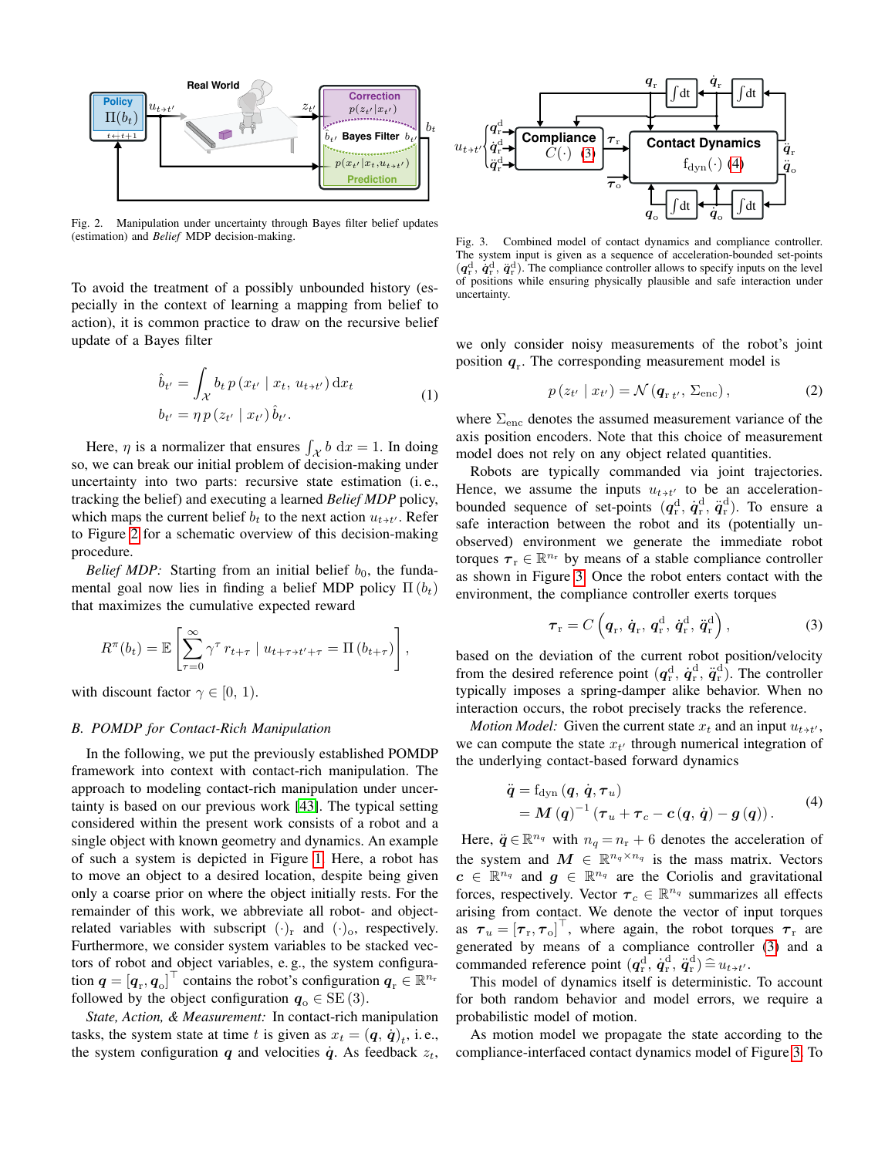

<span id="page-2-1"></span>Fig. 2. Manipulation under uncertainty through Bayes filter belief updates (estimation) and *Belief* MDP decision-making.

To avoid the treatment of a possibly unbounded history (especially in the context of learning a mapping from belief to action), it is common practice to draw on the recursive belief update of a Bayes filter

$$
\hat{b}_{t'} = \int_{\mathcal{X}} b_t p(x_{t'} | x_t, u_{t+t'}) dx_t
$$
\n
$$
b_{t'} = \eta p(z_{t'} | x_{t'}) \hat{b}_{t'}.
$$
\n(1)

Here,  $\eta$  is a normalizer that ensures  $\int_{\mathcal{X}} b \, dx = 1$ . In doing so, we can break our initial problem of decision-making under uncertainty into two parts: recursive state estimation (i. e., tracking the belief) and executing a learned *Belief MDP* policy, which maps the current belief  $b_t$  to the next action  $u_{t \t+ t'}$ . Refer to Figure [2](#page-2-1) for a schematic overview of this decision-making procedure.

*Belief MDP:* Starting from an initial belief  $b_0$ , the fundamental goal now lies in finding a belief MDP policy  $\Pi(b_t)$ that maximizes the cumulative expected reward

$$
R^{\pi}(b_t) = \mathbb{E}\left[\sum_{\tau=0}^{\infty} \gamma^{\tau} r_{t+\tau} \mid u_{t+\tau+t'+\tau} = \Pi(b_{t+\tau})\right],
$$

with discount factor  $\gamma \in [0, 1)$ .

#### <span id="page-2-0"></span>*B. POMDP for Contact-Rich Manipulation*

In the following, we put the previously established POMDP framework into context with contact-rich manipulation. The approach to modeling contact-rich manipulation under uncertainty is based on our previous work [\[43\]](#page-9-9). The typical setting considered within the present work consists of a robot and a single object with known geometry and dynamics. An example of such a system is depicted in Figure [1.](#page-0-0) Here, a robot has to move an object to a desired location, despite being given only a coarse prior on where the object initially rests. For the remainder of this work, we abbreviate all robot- and objectrelated variables with subscript  $(\cdot)_r$  and  $(\cdot)_o$ , respectively. Furthermore, we consider system variables to be stacked vectors of robot and object variables, e. g., the system configuration  $q = [q_r, q_o]^\top$  contains the robot's configuration  $q_r \in \mathbb{R}^{n_r}$ followed by the object configuration  $q_0 \in SE(3)$ .

*State, Action, & Measurement:* In contact-rich manipulation tasks, the system state at time t is given as  $x_t = (\boldsymbol{q}, \dot{\boldsymbol{q}})_t$ , i.e., the system configuration  $q$  and velocities  $\dot{q}$ . As feedback  $z_t$ ,



<span id="page-2-4"></span>Fig. 3. Combined model of contact dynamics and compliance controller. The system input is given as a sequence of acceleration-bounded set-points  $(q_{\rm r}^{\rm d}, \dot{q}_{\rm r}^{\rm d}, \ddot{q}_{\rm r}^{\rm d})$ . The compliance controller allows to specify inputs on the level of positions while ensuring physically plausible and safe interaction under uncertainty.

we only consider noisy measurements of the robot's joint position  $q_r$ . The corresponding measurement model is

<span id="page-2-5"></span>
$$
p(z_{t'} | x_{t'}) = \mathcal{N}(\boldsymbol{q}_{r t'}, \Sigma_{\text{enc}}), \qquad (2)
$$

where  $\Sigma_{\text{enc}}$  denotes the assumed measurement variance of the axis position encoders. Note that this choice of measurement model does not rely on any object related quantities.

Robots are typically commanded via joint trajectories. Hence, we assume the inputs  $u_{t+t}$  to be an accelerationbounded sequence of set-points  $(q_{\rm r}^{\rm d}, \dot{q}_{\rm r}^{\rm d}, \ddot{q}_{\rm r}^{\rm d})$ . To ensure a safe interaction between the robot and its (potentially unobserved) environment we generate the immediate robot torques  $\tau_r \in \mathbb{R}^{n_r}$  by means of a stable compliance controller as shown in Figure [3.](#page-2-4) Once the robot enters contact with the environment, the compliance controller exerts torques

<span id="page-2-2"></span>
$$
\boldsymbol{\tau}_{\rm r} = C\left(\boldsymbol{q}_{\rm r}, \dot{\boldsymbol{q}}_{\rm r}, \boldsymbol{q}_{\rm r}^{\rm d}, \dot{\boldsymbol{q}}_{\rm r}^{\rm d}, \ddot{\boldsymbol{q}}_{\rm r}^{\rm d}\right),\tag{3}
$$

based on the deviation of the current robot position/velocity from the desired reference point  $(q_{\rm r}^{\rm d}, \dot{q}_{\rm r}^{\rm d}, \ddot{q}_{\rm r}^{\rm d})$ . The controller typically imposes a spring-damper alike behavior. When no interaction occurs, the robot precisely tracks the reference.

*Motion Model:* Given the current state  $x_t$  and an input  $u_{t+t}$ , we can compute the state  $x_{t'}$  through numerical integration of the underlying contact-based forward dynamics

<span id="page-2-3"></span>
$$
\ddot{\boldsymbol{q}} = f_{\text{dyn}}\left(\boldsymbol{q}, \dot{\boldsymbol{q}}, \boldsymbol{\tau}_u\right) \n= \boldsymbol{M}\left(\boldsymbol{q}\right)^{-1}\left(\boldsymbol{\tau}_u + \boldsymbol{\tau}_c - \boldsymbol{c}\left(\boldsymbol{q}, \dot{\boldsymbol{q}}\right) - \boldsymbol{g}\left(\boldsymbol{q}\right)\right).
$$
\n(4)

Here,  $\ddot{q} \in \mathbb{R}^{n_q}$  with  $n_q = n_r + 6$  denotes the acceleration of the system and  $M \in \mathbb{R}^{n_q \times n_q}$  is the mass matrix. Vectors  $c \in \mathbb{R}^{n_q}$  and  $g \in \mathbb{R}^{n_q}$  are the Coriolis and gravitational forces, respectively. Vector  $\tau_c \in \mathbb{R}^{n_q}$  summarizes all effects arising from contact. We denote the vector of input torques as  $\tau_u = [\tau_r, \tau_o]^\top$ , where again, the robot torques  $\tau_r$  are generated by means of a compliance controller [\(3\)](#page-2-2) and a commanded reference point  $(q_{\rm r}^{\rm d}, \dot{q}_{\rm r}^{\rm d}, \ddot{q}_{\rm r}^{\rm d}) \hat{=} u_{t \to t'}$ .

This model of dynamics itself is deterministic. To account for both random behavior and model errors, we require a probabilistic model of motion.

As motion model we propagate the state according to the compliance-interfaced contact dynamics model of Figure [3.](#page-2-4) To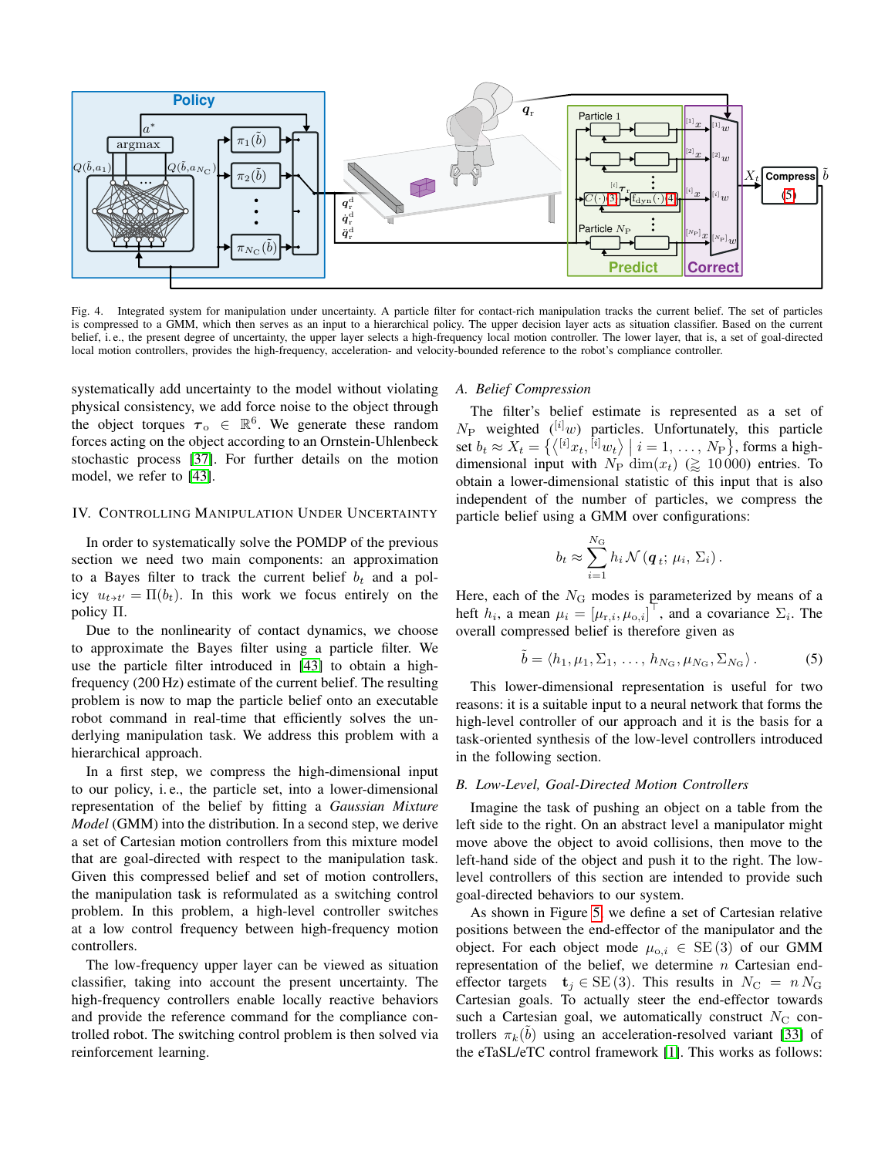

<span id="page-3-1"></span>Fig. 4. Integrated system for manipulation under uncertainty. A particle filter for contact-rich manipulation tracks the current belief. The set of particles is compressed to a GMM, which then serves as an input to a hierarchical policy. The upper decision layer acts as situation classifier. Based on the current belief, i.e., the present degree of uncertainty, the upper layer selects a high-frequency local motion controller. The lower layer, that is, a set of goal-directed local motion controllers, provides the high-frequency, acceleration- and velocity-bounded reference to the robot's compliance controller.

systematically add uncertainty to the model without violating physical consistency, we add force noise to the object through the object torques  $\tau_{0} \in \mathbb{R}^{6}$ . We generate these random forces acting on the object according to an Ornstein-Uhlenbeck stochastic process [\[37\]](#page-9-10). For further details on the motion model, we refer to [\[43\]](#page-9-9).

## IV. CONTROLLING MANIPULATION UNDER UNCERTAINTY

In order to systematically solve the POMDP of the previous section we need two main components: an approximation to a Bayes filter to track the current belief  $b_t$  and a policy  $u_{t \t{+}t'} = \Pi(b_t)$ . In this work we focus entirely on the policy Π.

Due to the nonlinearity of contact dynamics, we choose to approximate the Bayes filter using a particle filter. We use the particle filter introduced in [\[43\]](#page-9-9) to obtain a highfrequency (200 Hz) estimate of the current belief. The resulting problem is now to map the particle belief onto an executable robot command in real-time that efficiently solves the underlying manipulation task. We address this problem with a hierarchical approach.

In a first step, we compress the high-dimensional input to our policy, i. e., the particle set, into a lower-dimensional representation of the belief by fitting a *Gaussian Mixture Model* (GMM) into the distribution. In a second step, we derive a set of Cartesian motion controllers from this mixture model that are goal-directed with respect to the manipulation task. Given this compressed belief and set of motion controllers, the manipulation task is reformulated as a switching control problem. In this problem, a high-level controller switches at a low control frequency between high-frequency motion controllers.

The low-frequency upper layer can be viewed as situation classifier, taking into account the present uncertainty. The high-frequency controllers enable locally reactive behaviors and provide the reference command for the compliance controlled robot. The switching control problem is then solved via reinforcement learning.

# *A. Belief Compression*

The filter's belief estimate is represented as a set of  $N_P$  weighted ( $^{[i]}w$ ) particles. Unfortunately, this particle set  $b_t \approx X_t = \{ \langle {}^{[i]}x_t, {}^{[i]}w_t \rangle \mid i = 1, \ldots, N_P \},$  forms a highdimensional input with  $N_P \dim(x_t) \geq 10000$  entries. To obtain a lower-dimensional statistic of this input that is also independent of the number of particles, we compress the particle belief using a GMM over configurations:

<span id="page-3-0"></span>
$$
b_t \approx \sum_{i=1}^{N_{\rm G}} h_i \mathcal{N}(\boldsymbol{q}_t; \mu_i, \Sigma_i).
$$

Here, each of the  $N<sub>G</sub>$  modes is parameterized by means of a heft  $h_i$ , a mean  $\mu_i = [\mu_{\text{r},i}, \mu_{\text{o},i}]^\top$ , and a covariance  $\Sigma_i$ . The overall compressed belief is therefore given as

$$
\tilde{b} = \langle h_1, \mu_1, \Sigma_1, \dots, h_{N_{\rm G}}, \mu_{N_{\rm G}}, \Sigma_{N_{\rm G}} \rangle. \tag{5}
$$

This lower-dimensional representation is useful for two reasons: it is a suitable input to a neural network that forms the high-level controller of our approach and it is the basis for a task-oriented synthesis of the low-level controllers introduced in the following section.

## *B. Low-Level, Goal-Directed Motion Controllers*

Imagine the task of pushing an object on a table from the left side to the right. On an abstract level a manipulator might move above the object to avoid collisions, then move to the left-hand side of the object and push it to the right. The lowlevel controllers of this section are intended to provide such goal-directed behaviors to our system.

As shown in Figure [5,](#page-4-0) we define a set of Cartesian relative positions between the end-effector of the manipulator and the object. For each object mode  $\mu_{o,i} \in SE(3)$  of our GMM representation of the belief, we determine n Cartesian endeffector targets  $\mathbf{t}_j \in \text{SE}(3)$ . This results in  $N_{\text{C}} = n N_{\text{G}}$ Cartesian goals. To actually steer the end-effector towards such a Cartesian goal, we automatically construct  $N_{\rm C}$  controllers  $\pi_k(\tilde{b})$  using an acceleration-resolved variant [\[33\]](#page-9-11) of the eTaSL/eTC control framework [\[1\]](#page-8-18). This works as follows: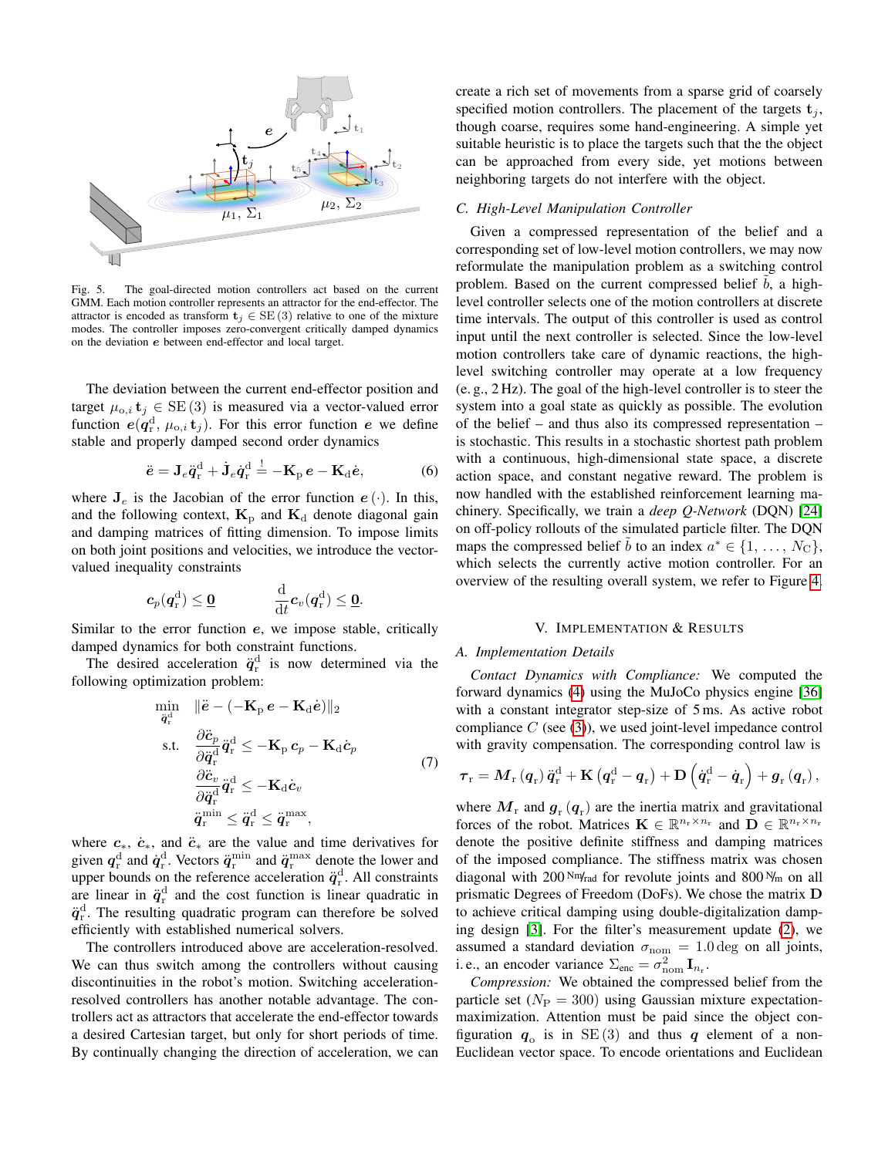

<span id="page-4-0"></span>Fig. 5. The goal-directed motion controllers act based on the current GMM. Each motion controller represents an attractor for the end-effector. The attractor is encoded as transform  $t_j \in SE(3)$  relative to one of the mixture modes. The controller imposes zero-convergent critically damped dynamics on the deviation e between end-effector and local target.

The deviation between the current end-effector position and target  $\mu_{o,i}$  **t**<sub>j</sub>  $\in$  SE (3) is measured via a vector-valued error function  $e(q_r^d, \mu_{o,i} t_j)$ . For this error function e we define stable and properly damped second order dynamics

$$
\ddot{\mathbf{e}} = \mathbf{J}_e \ddot{\mathbf{q}}_r^d + \dot{\mathbf{J}}_e \dot{\mathbf{q}}_r^d \stackrel{!}{=} -\mathbf{K}_p \,\mathbf{e} - \mathbf{K}_d \dot{\mathbf{e}},\tag{6}
$$

where  $J_e$  is the Jacobian of the error function  $e(.)$ . In this, and the following context,  $\mathbf{K}_p$  and  $\mathbf{K}_d$  denote diagonal gain and damping matrices of fitting dimension. To impose limits on both joint positions and velocities, we introduce the vectorvalued inequality constraints

$$
\boldsymbol{c}_p(\boldsymbol{q}_{\text{r}}^{\text{d}}) \leq \underline{\boldsymbol{0}} \hspace{1cm} \frac{\mathrm{d}}{\mathrm{d}t}\boldsymbol{c}_v(\boldsymbol{q}_{\text{r}}^{\text{d}}) \leq \underline{\boldsymbol{0}}.
$$

Similar to the error function e, we impose stable, critically damped dynamics for both constraint functions.

The desired acceleration  $\ddot{q}_{r}^{d}$  is now determined via the following optimization problem:

<span id="page-4-1"></span>
$$
\begin{aligned} \min_{\ddot{\boldsymbol{q}}_{\text{r}}^{\text{d}}} & \quad \Vert \ddot{\boldsymbol{e}} - \left( -\mathbf{K}_{\text{p}} \, \boldsymbol{e} - \mathbf{K}_{\text{d}} \dot{\boldsymbol{e}} \right) \Vert_2 \\ \text{s.t.} & \quad \frac{\partial \ddot{\boldsymbol{c}}_{p}}{\partial \ddot{\boldsymbol{q}}_{\text{r}}^{\text{d}}} \ddot{\boldsymbol{q}}_{\text{r}}^{\text{d}} \leq -\mathbf{K}_{\text{p}} \, \boldsymbol{c}_{p} - \mathbf{K}_{\text{d}} \dot{\boldsymbol{c}}_{p} \\ & \quad \frac{\partial \ddot{\boldsymbol{c}}_{v}}{\partial \ddot{\boldsymbol{q}}_{\text{r}}^{\text{d}}} \ddot{\boldsymbol{q}}_{\text{r}}^{\text{d}} \leq -\mathbf{K}_{\text{d}} \dot{\boldsymbol{c}}_{v} \\ & \quad \ddot{\boldsymbol{q}}_{\text{r}}^{\text{min}} \leq \ddot{\boldsymbol{q}}_{\text{r}}^{\text{d}} \leq \ddot{\boldsymbol{q}}_{\text{r}}^{\text{max}}, \end{aligned} \tag{7}
$$

where  $c_*, \dot{c}_*,$  and  $\ddot{c}_*$  are the value and time derivatives for given  $q_{\rm r}^{\rm d}$  and  $\dot{q}_{\rm r}^{\rm d}$ . Vectors  $\ddot{q}_{\rm r}^{\rm min}$  and  $\ddot{q}_{\rm r}^{\rm max}$  denote the lower and upper bounds on the reference acceleration  $\ddot{q}_r^d$ . All constraints are linear in  $\ddot{q}_{r}^{d}$  and the cost function is linear quadratic in  $\ddot{q}_{\rm r}^{\rm d}$ . The resulting quadratic program can therefore be solved efficiently with established numerical solvers.

The controllers introduced above are acceleration-resolved. We can thus switch among the controllers without causing discontinuities in the robot's motion. Switching accelerationresolved controllers has another notable advantage. The controllers act as attractors that accelerate the end-effector towards a desired Cartesian target, but only for short periods of time. By continually changing the direction of acceleration, we can create a rich set of movements from a sparse grid of coarsely specified motion controllers. The placement of the targets  $t_i$ , though coarse, requires some hand-engineering. A simple yet suitable heuristic is to place the targets such that the the object can be approached from every side, yet motions between neighboring targets do not interfere with the object.

# *C. High-Level Manipulation Controller*

Given a compressed representation of the belief and a corresponding set of low-level motion controllers, we may now reformulate the manipulation problem as a switching control problem. Based on the current compressed belief  $b$ , a highlevel controller selects one of the motion controllers at discrete time intervals. The output of this controller is used as control input until the next controller is selected. Since the low-level motion controllers take care of dynamic reactions, the highlevel switching controller may operate at a low frequency (e. g., 2 Hz). The goal of the high-level controller is to steer the system into a goal state as quickly as possible. The evolution of the belief – and thus also its compressed representation – is stochastic. This results in a stochastic shortest path problem with a continuous, high-dimensional state space, a discrete action space, and constant negative reward. The problem is now handled with the established reinforcement learning machinery. Specifically, we train a *deep Q-Network* (DQN) [\[24\]](#page-8-19) on off-policy rollouts of the simulated particle filter. The DQN maps the compressed belief  $\tilde{b}$  to an index  $a^* \in \{1, \ldots, N_C\}$ , which selects the currently active motion controller. For an overview of the resulting overall system, we refer to Figure [4.](#page-3-1)

# V. IMPLEMENTATION & RESULTS

# *A. Implementation Details*

*Contact Dynamics with Compliance:* We computed the forward dynamics [\(4\)](#page-2-3) using the MuJoCo physics engine [\[36\]](#page-9-12) with a constant integrator step-size of 5 ms. As active robot compliance  $C$  (see [\(3\)](#page-2-2)), we used joint-level impedance control with gravity compensation. The corresponding control law is

$$
\boldsymbol{\tau}_{\mathrm{r}}=\boldsymbol{M}_{\mathrm{r}}\left(\boldsymbol{q}_{\mathrm{r}}\right)\ddot{\boldsymbol{q}}_{\mathrm{r}}^{\mathrm{d}}+\mathbf{K}\left(\boldsymbol{q}_{\mathrm{r}}^{\mathrm{d}}-\boldsymbol{q}_{\mathrm{r}}\right)+\mathbf{D}\left(\dot{\boldsymbol{q}}_{\mathrm{r}}^{\mathrm{d}}-\dot{\boldsymbol{q}}_{\mathrm{r}}\right)+\boldsymbol{g}_{\mathrm{r}}\left(\boldsymbol{q}_{\mathrm{r}}\right),
$$

where  $M_{\rm r}$  and  $g_{\rm r}(q_{\rm r})$  are the inertia matrix and gravitational forces of the robot. Matrices  $\mathbf{K} \in \mathbb{R}^{n_x \times n_x}$  and  $\mathbf{D} \in \mathbb{R}^{n_x \times n_x}$ denote the positive definite stiffness and damping matrices of the imposed compliance. The stiffness matrix was chosen diagonal with 200 Nm/rad for revolute joints and 800 N/m on all prismatic Degrees of Freedom (DoFs). We chose the matrix D to achieve critical damping using double-digitalization damping design [\[3\]](#page-8-20). For the filter's measurement update [\(2\)](#page-2-5), we assumed a standard deviation  $\sigma_{\text{nom}} = 1.0 \text{ deg on all joints,}$ i. e., an encoder variance  $\Sigma_{\text{enc}} = \sigma_{\text{nom}}^2 \mathbf{I}_{n_r}$ .

*Compression:* We obtained the compressed belief from the particle set ( $N_P = 300$ ) using Gaussian mixture expectationmaximization. Attention must be paid since the object configuration  $q_0$  is in SE(3) and thus q element of a non-Euclidean vector space. To encode orientations and Euclidean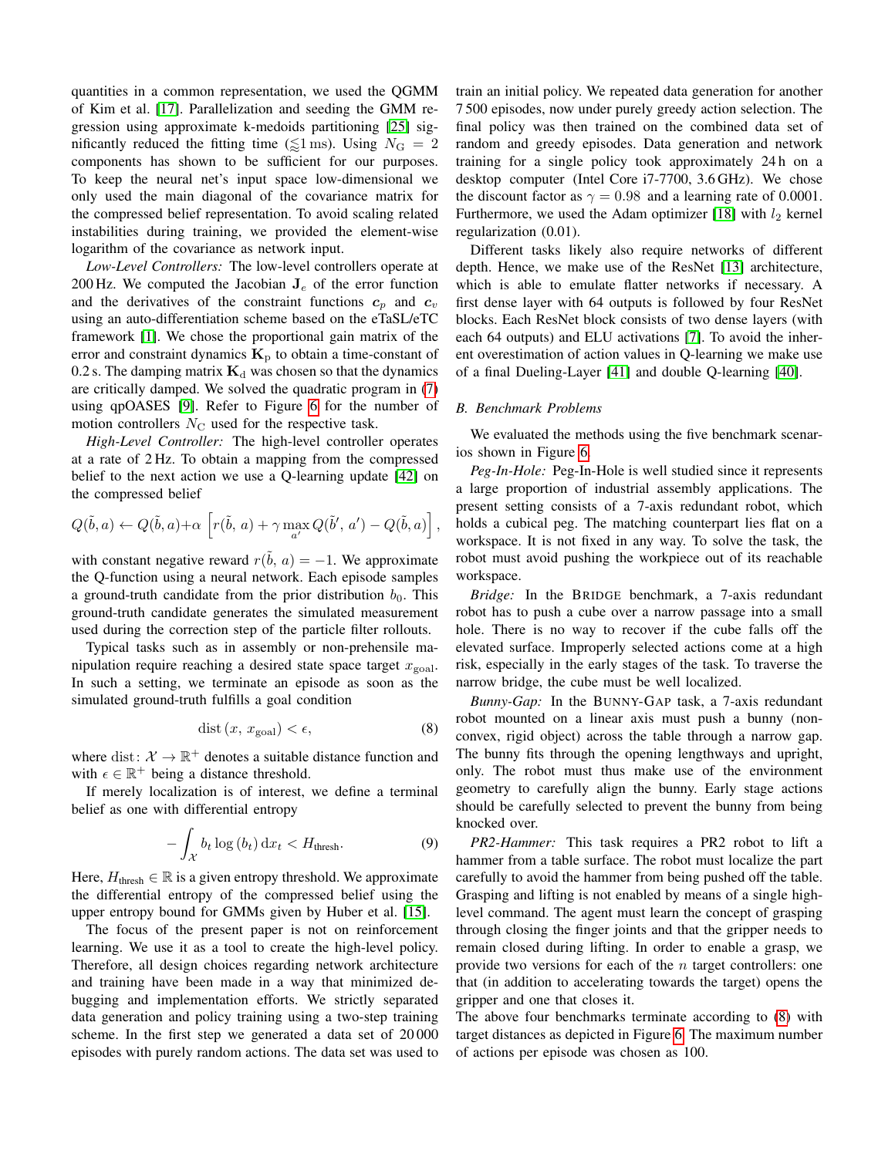quantities in a common representation, we used the QGMM of Kim et al. [\[17\]](#page-8-21). Parallelization and seeding the GMM regression using approximate k-medoids partitioning [\[25\]](#page-8-22) significantly reduced the fitting time ( $\leq 1 \text{ ms}$ ). Using  $N_{\text{G}} = 2$ components has shown to be sufficient for our purposes. To keep the neural net's input space low-dimensional we only used the main diagonal of the covariance matrix for the compressed belief representation. To avoid scaling related instabilities during training, we provided the element-wise logarithm of the covariance as network input.

*Low-Level Controllers:* The low-level controllers operate at 200 Hz. We computed the Jacobian  $J_e$  of the error function and the derivatives of the constraint functions  $c_p$  and  $c_v$ using an auto-differentiation scheme based on the eTaSL/eTC framework [\[1\]](#page-8-18). We chose the proportional gain matrix of the error and constraint dynamics  $K_p$  to obtain a time-constant of 0.2 s. The damping matrix  $K_d$  was chosen so that the dynamics are critically damped. We solved the quadratic program in [\(7\)](#page-4-1) using qpOASES [\[9\]](#page-8-23). Refer to Figure [6](#page-6-0) for the number of motion controllers  $N_{\rm C}$  used for the respective task.

*High-Level Controller:* The high-level controller operates at a rate of 2 Hz. To obtain a mapping from the compressed belief to the next action we use a Q-learning update [\[42\]](#page-9-8) on the compressed belief

$$
Q(\tilde{b}, a) \leftarrow Q(\tilde{b}, a) + \alpha \left[ r(\tilde{b}, a) + \gamma \max_{a'} Q(\tilde{b}', a') - Q(\tilde{b}, a) \right],
$$

with constant negative reward  $r(\tilde{b}, a) = -1$ . We approximate the Q-function using a neural network. Each episode samples a ground-truth candidate from the prior distribution  $b_0$ . This ground-truth candidate generates the simulated measurement used during the correction step of the particle filter rollouts.

Typical tasks such as in assembly or non-prehensile manipulation require reaching a desired state space target  $x_{\text{goal}}$ . In such a setting, we terminate an episode as soon as the simulated ground-truth fulfills a goal condition

<span id="page-5-1"></span>
$$
dist(x, x_{goal}) < \epsilon,
$$
\n(8)

where dist:  $\mathcal{X} \to \mathbb{R}^+$  denotes a suitable distance function and with  $\epsilon \in \mathbb{R}^+$  being a distance threshold.

If merely localization is of interest, we define a terminal belief as one with differential entropy

$$
-\int_{\mathcal{X}} b_t \log(b_t) \,dx_t < H_{\text{thresh}}.\tag{9}
$$

Here,  $H_{\text{thresh}} \in \mathbb{R}$  is a given entropy threshold. We approximate the differential entropy of the compressed belief using the upper entropy bound for GMMs given by Huber et al. [\[15\]](#page-8-24).

The focus of the present paper is not on reinforcement learning. We use it as a tool to create the high-level policy. Therefore, all design choices regarding network architecture and training have been made in a way that minimized debugging and implementation efforts. We strictly separated data generation and policy training using a two-step training scheme. In the first step we generated a data set of 20 000 episodes with purely random actions. The data set was used to train an initial policy. We repeated data generation for another 7 500 episodes, now under purely greedy action selection. The final policy was then trained on the combined data set of random and greedy episodes. Data generation and network training for a single policy took approximately 24 h on a desktop computer (Intel Core i7-7700, 3.6 GHz). We chose the discount factor as  $\gamma = 0.98$  and a learning rate of 0.0001. Furthermore, we used the Adam optimizer [\[18\]](#page-8-25) with  $l_2$  kernel regularization (0.01).

Different tasks likely also require networks of different depth. Hence, we make use of the ResNet [\[13\]](#page-8-26) architecture, which is able to emulate flatter networks if necessary. A first dense layer with 64 outputs is followed by four ResNet blocks. Each ResNet block consists of two dense layers (with each 64 outputs) and ELU activations [\[7\]](#page-8-27). To avoid the inherent overestimation of action values in Q-learning we make use of a final Dueling-Layer [\[41\]](#page-9-13) and double Q-learning [\[40\]](#page-9-14).

# *B. Benchmark Problems*

We evaluated the methods using the five benchmark scenarios shown in Figure [6.](#page-6-0)

*Peg-In-Hole:* Peg-In-Hole is well studied since it represents a large proportion of industrial assembly applications. The present setting consists of a 7-axis redundant robot, which holds a cubical peg. The matching counterpart lies flat on a workspace. It is not fixed in any way. To solve the task, the robot must avoid pushing the workpiece out of its reachable workspace.

*Bridge:* In the BRIDGE benchmark, a 7-axis redundant robot has to push a cube over a narrow passage into a small hole. There is no way to recover if the cube falls off the elevated surface. Improperly selected actions come at a high risk, especially in the early stages of the task. To traverse the narrow bridge, the cube must be well localized.

<span id="page-5-0"></span>*Bunny-Gap:* In the BUNNY-GAP task, a 7-axis redundant robot mounted on a linear axis must push a bunny (nonconvex, rigid object) across the table through a narrow gap. The bunny fits through the opening lengthways and upright, only. The robot must thus make use of the environment geometry to carefully align the bunny. Early stage actions should be carefully selected to prevent the bunny from being knocked over.

*PR2-Hammer:* This task requires a PR2 robot to lift a hammer from a table surface. The robot must localize the part carefully to avoid the hammer from being pushed off the table. Grasping and lifting is not enabled by means of a single highlevel command. The agent must learn the concept of grasping through closing the finger joints and that the gripper needs to remain closed during lifting. In order to enable a grasp, we provide two versions for each of the  $n$  target controllers: one that (in addition to accelerating towards the target) opens the gripper and one that closes it.

The above four benchmarks terminate according to [\(8\)](#page-5-0) with target distances as depicted in Figure [6.](#page-6-0) The maximum number of actions per episode was chosen as 100.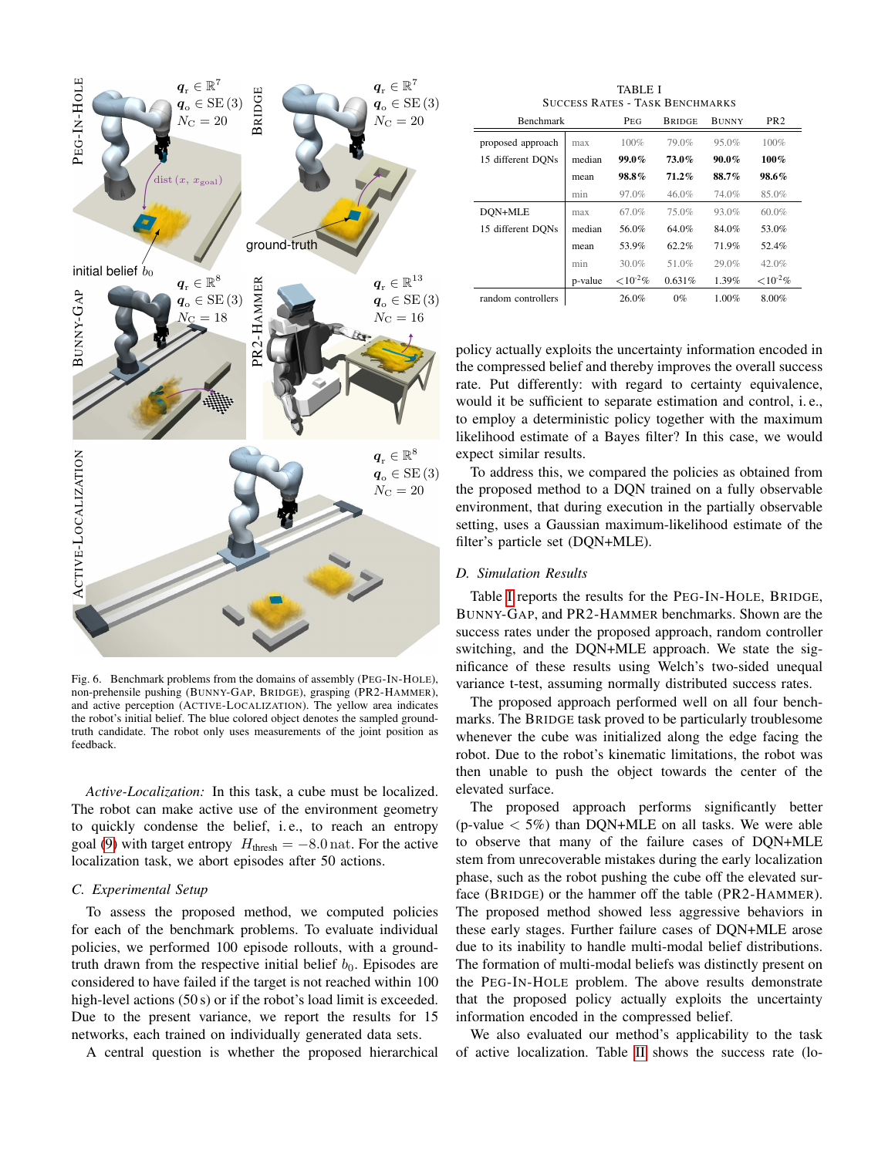

<span id="page-6-0"></span>Fig. 6. Benchmark problems from the domains of assembly (PEG-IN-HOLE), non-prehensile pushing (BUNNY-GAP, BRIDGE), grasping (PR2-HAMMER), and active perception (ACTIVE-LOCALIZATION). The yellow area indicates the robot's initial belief. The blue colored object denotes the sampled groundtruth candidate. The robot only uses measurements of the joint position as feedback.

*Active-Localization:* In this task, a cube must be localized. The robot can make active use of the environment geometry to quickly condense the belief, i. e., to reach an entropy goal [\(9\)](#page-5-1) with target entropy  $H_{\text{thresh}} = -8.0 \text{ nat}$ . For the active localization task, we abort episodes after 50 actions.

# *C. Experimental Setup*

To assess the proposed method, we computed policies for each of the benchmark problems. To evaluate individual policies, we performed 100 episode rollouts, with a groundtruth drawn from the respective initial belief  $b_0$ . Episodes are considered to have failed if the target is not reached within 100 high-level actions (50 s) or if the robot's load limit is exceeded. Due to the present variance, we report the results for 15 networks, each trained on individually generated data sets.

A central question is whether the proposed hierarchical

TABLE I SUCCESS RATES - TASK BENCHMARKS

<span id="page-6-1"></span>

| <b>Benchmark</b>   |         | PEG            | <b>BRIDGE</b> | <b>BUNNY</b> | PR <sub>2</sub> |
|--------------------|---------|----------------|---------------|--------------|-----------------|
| proposed approach  | max     | 100%           | 79.0%         | 95.0%        | 100%            |
| 15 different DONs  | median  | $99.0\%$       | 73.0%         | $90.0\%$     | 100%            |
|                    | mean    | 98.8%          | $71.2\%$      | 88.7%        | 98.6%           |
|                    | min     | 97.0%          | 46.0%         | 74.0%        | 85.0%           |
| DON+MLE            | max     | 67.0%          | 75.0%         | 93.0%        | 60.0%           |
| 15 different DONs  | median  | 56.0%          | 64.0%         | 84.0%        | 53.0%           |
|                    | mean    | 53.9%          | 62.2%         | 71.9%        | 52.4%           |
|                    | min     | 30.0%          | 51.0%         | 29.0%        | 42.0%           |
|                    | p-value | ${<}10^{-2}\%$ | 0.631%        | 1.39%        | ${<}10^{-2}\%$  |
| random controllers |         | 26.0%          | $0\%$         | 1.00%        | 8.00%           |

policy actually exploits the uncertainty information encoded in the compressed belief and thereby improves the overall success rate. Put differently: with regard to certainty equivalence, would it be sufficient to separate estimation and control, i. e., to employ a deterministic policy together with the maximum likelihood estimate of a Bayes filter? In this case, we would expect similar results.

To address this, we compared the policies as obtained from the proposed method to a DQN trained on a fully observable environment, that during execution in the partially observable setting, uses a Gaussian maximum-likelihood estimate of the filter's particle set (DQN+MLE).

#### *D. Simulation Results*

Table [I](#page-6-1) reports the results for the PEG-IN-HOLE, BRIDGE, BUNNY-GAP, and PR2-HAMMER benchmarks. Shown are the success rates under the proposed approach, random controller switching, and the DQN+MLE approach. We state the significance of these results using Welch's two-sided unequal variance t-test, assuming normally distributed success rates.

The proposed approach performed well on all four benchmarks. The BRIDGE task proved to be particularly troublesome whenever the cube was initialized along the edge facing the robot. Due to the robot's kinematic limitations, the robot was then unable to push the object towards the center of the elevated surface.

The proposed approach performs significantly better (p-value  $\langle 5\% \rangle$  than DQN+MLE on all tasks. We were able to observe that many of the failure cases of DQN+MLE stem from unrecoverable mistakes during the early localization phase, such as the robot pushing the cube off the elevated surface (BRIDGE) or the hammer off the table (PR2-HAMMER). The proposed method showed less aggressive behaviors in these early stages. Further failure cases of DQN+MLE arose due to its inability to handle multi-modal belief distributions. The formation of multi-modal beliefs was distinctly present on the PEG-IN-HOLE problem. The above results demonstrate that the proposed policy actually exploits the uncertainty information encoded in the compressed belief.

We also evaluated our method's applicability to the task of active localization. Table [II](#page-7-0) shows the success rate (lo-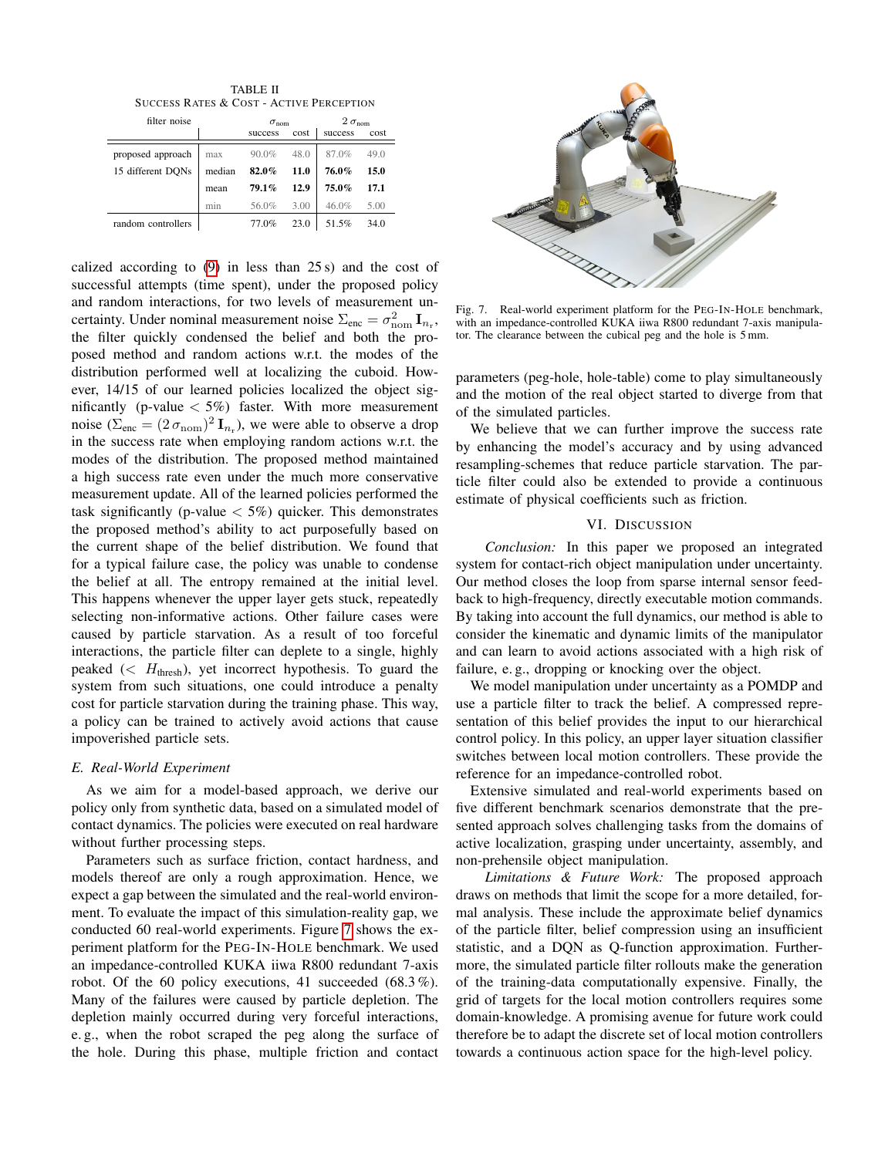TABLE II SUCCESS RATES & COST - ACTIVE PERCEPTION

<span id="page-7-0"></span>

| filter noise       |                  | $\sigma_{\text{nom}}$ |      | $2\,\sigma_{\mathrm{nom}}$ |      |
|--------------------|------------------|-----------------------|------|----------------------------|------|
|                    |                  | success               | cost | success                    | cost |
| proposed approach  | max              | 90.0%                 | 48.0 | 87.0%                      | 49.0 |
| 15 different DONs  | median           | 82.0%                 | 11.0 | 76.0%                      | 15.0 |
|                    | mean             | 79.1%                 | 12.9 | 75.0%                      | 17.1 |
|                    | m <sub>1</sub> n | 56.0%                 | 3.00 | 46.0%                      | 5.00 |
| random controllers |                  | 77.0%                 | 23.0 | 51.5%                      | 34.0 |

calized according to [\(9\)](#page-5-1) in less than 25 s) and the cost of successful attempts (time spent), under the proposed policy and random interactions, for two levels of measurement uncertainty. Under nominal measurement noise  $\Sigma_{\text{enc}} = \sigma_{\text{nom}}^2 \mathbf{I}_{n_r}$ , the filter quickly condensed the belief and both the proposed method and random actions w.r.t. the modes of the distribution performed well at localizing the cuboid. However, 14/15 of our learned policies localized the object significantly (p-value  $<$  5%) faster. With more measurement noise ( $\Sigma_{\text{enc}} = (2 \sigma_{\text{nom}})^2 \mathbf{I}_{n_r}$ ), we were able to observe a drop in the success rate when employing random actions w.r.t. the modes of the distribution. The proposed method maintained a high success rate even under the much more conservative measurement update. All of the learned policies performed the task significantly (p-value  $<$  5%) quicker. This demonstrates the proposed method's ability to act purposefully based on the current shape of the belief distribution. We found that for a typical failure case, the policy was unable to condense the belief at all. The entropy remained at the initial level. This happens whenever the upper layer gets stuck, repeatedly selecting non-informative actions. Other failure cases were caused by particle starvation. As a result of too forceful interactions, the particle filter can deplete to a single, highly peaked ( $\lt H_{\text{thresh}}$ ), yet incorrect hypothesis. To guard the system from such situations, one could introduce a penalty cost for particle starvation during the training phase. This way, a policy can be trained to actively avoid actions that cause impoverished particle sets.

#### *E. Real-World Experiment*

As we aim for a model-based approach, we derive our policy only from synthetic data, based on a simulated model of contact dynamics. The policies were executed on real hardware without further processing steps.

Parameters such as surface friction, contact hardness, and models thereof are only a rough approximation. Hence, we expect a gap between the simulated and the real-world environment. To evaluate the impact of this simulation-reality gap, we conducted 60 real-world experiments. Figure [7](#page-7-1) shows the experiment platform for the PEG-IN-HOLE benchmark. We used an impedance-controlled KUKA iiwa R800 redundant 7-axis robot. Of the 60 policy executions, 41 succeeded  $(68.3\%)$ . Many of the failures were caused by particle depletion. The depletion mainly occurred during very forceful interactions, e. g., when the robot scraped the peg along the surface of the hole. During this phase, multiple friction and contact



<span id="page-7-1"></span>Fig. 7. Real-world experiment platform for the PEG-IN-HOLE benchmark, with an impedance-controlled KUKA iiwa R800 redundant 7-axis manipulator. The clearance between the cubical peg and the hole is 5 mm.

parameters (peg-hole, hole-table) come to play simultaneously and the motion of the real object started to diverge from that of the simulated particles.

We believe that we can further improve the success rate by enhancing the model's accuracy and by using advanced resampling-schemes that reduce particle starvation. The particle filter could also be extended to provide a continuous estimate of physical coefficients such as friction.

## VI. DISCUSSION

*Conclusion:* In this paper we proposed an integrated system for contact-rich object manipulation under uncertainty. Our method closes the loop from sparse internal sensor feedback to high-frequency, directly executable motion commands. By taking into account the full dynamics, our method is able to consider the kinematic and dynamic limits of the manipulator and can learn to avoid actions associated with a high risk of failure, e. g., dropping or knocking over the object.

We model manipulation under uncertainty as a POMDP and use a particle filter to track the belief. A compressed representation of this belief provides the input to our hierarchical control policy. In this policy, an upper layer situation classifier switches between local motion controllers. These provide the reference for an impedance-controlled robot.

Extensive simulated and real-world experiments based on five different benchmark scenarios demonstrate that the presented approach solves challenging tasks from the domains of active localization, grasping under uncertainty, assembly, and non-prehensile object manipulation.

*Limitations & Future Work:* The proposed approach draws on methods that limit the scope for a more detailed, formal analysis. These include the approximate belief dynamics of the particle filter, belief compression using an insufficient statistic, and a DQN as Q-function approximation. Furthermore, the simulated particle filter rollouts make the generation of the training-data computationally expensive. Finally, the grid of targets for the local motion controllers requires some domain-knowledge. A promising avenue for future work could therefore be to adapt the discrete set of local motion controllers towards a continuous action space for the high-level policy.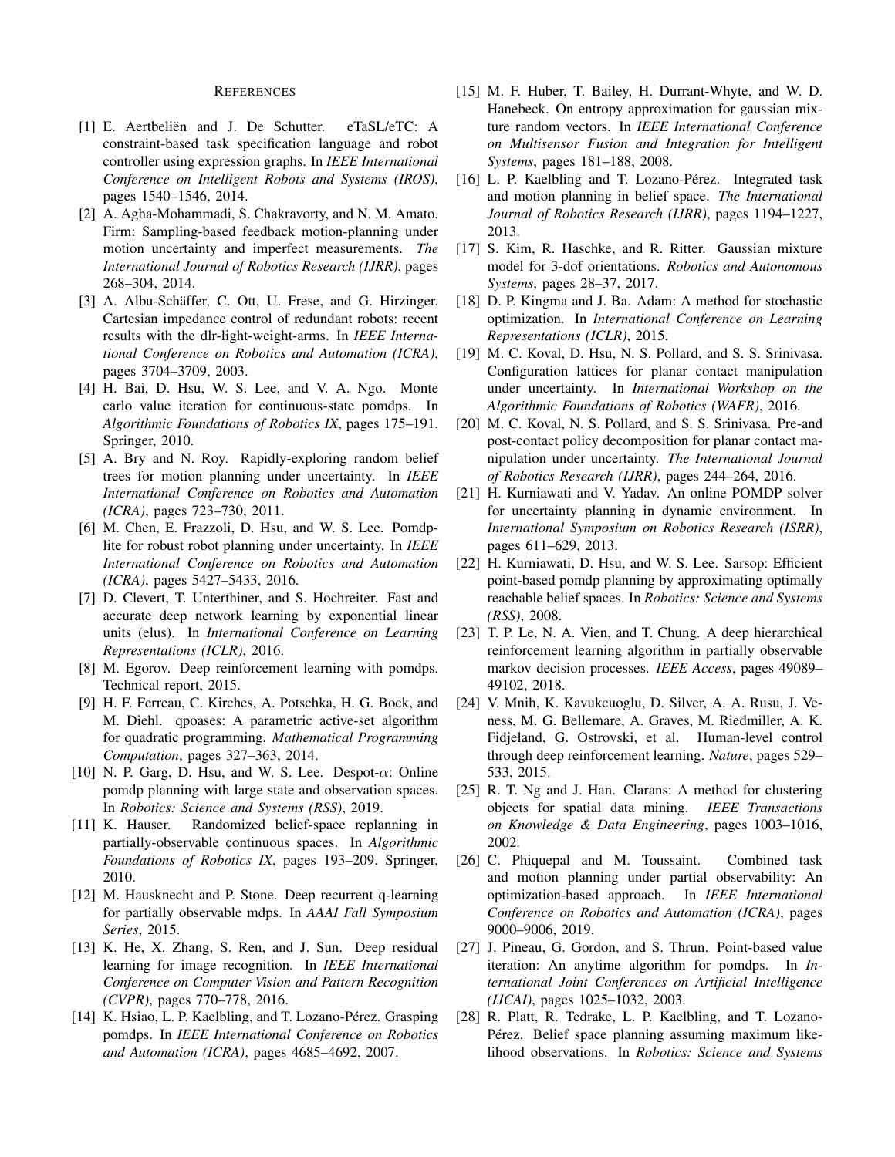#### REFERENCES

- <span id="page-8-18"></span>[1] E. Aertbeliën and J. De Schutter. eTaSL/eTC: A constraint-based task specification language and robot controller using expression graphs. In *IEEE International Conference on Intelligent Robots and Systems (IROS)*, pages 1540–1546, 2014.
- <span id="page-8-0"></span>[2] A. Agha-Mohammadi, S. Chakravorty, and N. M. Amato. Firm: Sampling-based feedback motion-planning under motion uncertainty and imperfect measurements. *The International Journal of Robotics Research (IJRR)*, pages 268–304, 2014.
- <span id="page-8-20"></span>[3] A. Albu-Schäffer, C. Ott, U. Frese, and G. Hirzinger. Cartesian impedance control of redundant robots: recent results with the dlr-light-weight-arms. In *IEEE International Conference on Robotics and Automation (ICRA)*, pages 3704–3709, 2003.
- <span id="page-8-6"></span>[4] H. Bai, D. Hsu, W. S. Lee, and V. A. Ngo. Monte carlo value iteration for continuous-state pomdps. In *Algorithmic Foundations of Robotics IX*, pages 175–191. Springer, 2010.
- <span id="page-8-1"></span>[5] A. Bry and N. Roy. Rapidly-exploring random belief trees for motion planning under uncertainty. In *IEEE International Conference on Robotics and Automation (ICRA)*, pages 723–730, 2011.
- <span id="page-8-8"></span>[6] M. Chen, E. Frazzoli, D. Hsu, and W. S. Lee. Pomdplite for robust robot planning under uncertainty. In *IEEE International Conference on Robotics and Automation (ICRA)*, pages 5427–5433, 2016.
- <span id="page-8-27"></span>[7] D. Clevert, T. Unterthiner, and S. Hochreiter. Fast and accurate deep network learning by exponential linear units (elus). In *International Conference on Learning Representations (ICLR)*, 2016.
- <span id="page-8-10"></span>[8] M. Egorov. Deep reinforcement learning with pomdps. Technical report, 2015.
- <span id="page-8-23"></span>[9] H. F. Ferreau, C. Kirches, A. Potschka, H. G. Bock, and M. Diehl. qpoases: A parametric active-set algorithm for quadratic programming. *Mathematical Programming Computation*, pages 327–363, 2014.
- <span id="page-8-9"></span>[10] N. P. Garg, D. Hsu, and W. S. Lee. Despot- $\alpha$ : Online pomdp planning with large state and observation spaces. In *Robotics: Science and Systems (RSS)*, 2019.
- <span id="page-8-3"></span>[11] K. Hauser. Randomized belief-space replanning in partially-observable continuous spaces. In *Algorithmic Foundations of Robotics IX*, pages 193–209. Springer, 2010.
- <span id="page-8-11"></span>[12] M. Hausknecht and P. Stone. Deep recurrent q-learning for partially observable mdps. In *AAAI Fall Symposium Series*, 2015.
- <span id="page-8-26"></span>[13] K. He, X. Zhang, S. Ren, and J. Sun. Deep residual learning for image recognition. In *IEEE International Conference on Computer Vision and Pattern Recognition (CVPR)*, pages 770–778, 2016.
- <span id="page-8-15"></span>[14] K. Hsiao, L. P. Kaelbling, and T. Lozano-Pérez. Grasping pomdps. In *IEEE International Conference on Robotics and Automation (ICRA)*, pages 4685–4692, 2007.
- <span id="page-8-24"></span>[15] M. F. Huber, T. Bailey, H. Durrant-Whyte, and W. D. Hanebeck. On entropy approximation for gaussian mixture random vectors. In *IEEE International Conference on Multisensor Fusion and Integration for Intelligent Systems*, pages 181–188, 2008.
- <span id="page-8-13"></span>[16] L. P. Kaelbling and T. Lozano-Pérez. Integrated task and motion planning in belief space. *The International Journal of Robotics Research (IJRR)*, pages 1194–1227, 2013.
- <span id="page-8-21"></span>[17] S. Kim, R. Haschke, and R. Ritter. Gaussian mixture model for 3-dof orientations. *Robotics and Autonomous Systems*, pages 28–37, 2017.
- <span id="page-8-25"></span>[18] D. P. Kingma and J. Ba. Adam: A method for stochastic optimization. In *International Conference on Learning Representations (ICLR)*, 2015.
- <span id="page-8-17"></span>[19] M. C. Koval, D. Hsu, N. S. Pollard, and S. S. Srinivasa. Configuration lattices for planar contact manipulation under uncertainty. In *International Workshop on the Algorithmic Foundations of Robotics (WAFR)*, 2016.
- <span id="page-8-16"></span>[20] M. C. Koval, N. S. Pollard, and S. S. Srinivasa. Pre-and post-contact policy decomposition for planar contact manipulation under uncertainty. *The International Journal of Robotics Research (IJRR)*, pages 244–264, 2016.
- <span id="page-8-7"></span>[21] H. Kurniawati and V. Yadav. An online POMDP solver for uncertainty planning in dynamic environment. In *International Symposium on Robotics Research (ISRR)*, pages 611–629, 2013.
- <span id="page-8-5"></span>[22] H. Kurniawati, D. Hsu, and W. S. Lee. Sarsop: Efficient point-based pomdp planning by approximating optimally reachable belief spaces. In *Robotics: Science and Systems (RSS)*, 2008.
- <span id="page-8-12"></span>[23] T. P. Le, N. A. Vien, and T. Chung. A deep hierarchical reinforcement learning algorithm in partially observable markov decision processes. *IEEE Access*, pages 49089– 49102, 2018.
- <span id="page-8-19"></span>[24] V. Mnih, K. Kavukcuoglu, D. Silver, A. A. Rusu, J. Veness, M. G. Bellemare, A. Graves, M. Riedmiller, A. K. Fidjeland, G. Ostrovski, et al. Human-level control through deep reinforcement learning. *Nature*, pages 529– 533, 2015.
- <span id="page-8-22"></span>[25] R. T. Ng and J. Han. Clarans: A method for clustering objects for spatial data mining. *IEEE Transactions on Knowledge & Data Engineering*, pages 1003–1016, 2002.
- <span id="page-8-14"></span>[26] C. Phiquepal and M. Toussaint. Combined task and motion planning under partial observability: An optimization-based approach. In *IEEE International Conference on Robotics and Automation (ICRA)*, pages 9000–9006, 2019.
- <span id="page-8-4"></span>[27] J. Pineau, G. Gordon, and S. Thrun. Point-based value iteration: An anytime algorithm for pomdps. In *International Joint Conferences on Artificial Intelligence (IJCAI)*, pages 1025–1032, 2003.
- <span id="page-8-2"></span>[28] R. Platt, R. Tedrake, L. P. Kaelbling, and T. Lozano-Pérez. Belief space planning assuming maximum likelihood observations. In *Robotics: Science and Systems*